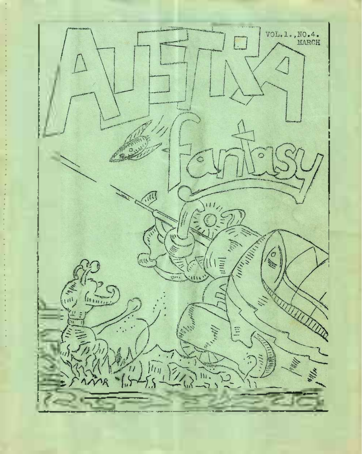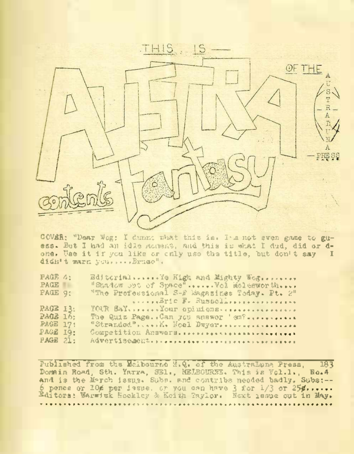

COVER: "Dear Wog: I dunnt what this is. I'm not even game to guess. But I had an idle moment, and this is what I dud, did or done. Use it if you like or only use the title, but don't say I didn't warn you.....Bruge",

| PAGE 4:<br>EditorialYe High and Mighty Wof               |  |  |  |  |
|----------------------------------------------------------|--|--|--|--|
| <b>PAGE</b><br>"Stadew out of Space"  Vel Melesworth     |  |  |  |  |
| PAGE 9:<br>"The Professional S-F Eagasines Today. Pt. 2" |  |  |  |  |
| $\ldots$ , $Brfc$ F. Russell, $\ldots$                   |  |  |  |  |
| PAGE IR:<br>YOUR BAY, , , , , , , Your opinions.         |  |  |  |  |
| PAGE 16:<br>The Quiz Page. Can you suswer 'em?           |  |  |  |  |
| PAGE 17:<br>"Stranded"  Noel Dwyer                       |  |  |  |  |
| PAGE 19:<br>Competition Answers.                         |  |  |  |  |
| PAGE 21:<br>Advertisement                                |  |  |  |  |

Published from the Melbourne H.Q. of the AustraDuna Press, 183 currence rrow one wentwourned with the March March 1788.<br>Domain Road, Sth. Yarra, SEI., MELBOURNE. This is Vol.1., No.4<br>and is the March issue. Subs, and contribs needed badly. Subs:--6 pence or 106 per issue, or you can have 3 for 1/3 or 256......<br>Editors: Warwick Hockley & Keith Taylor. Next issue out in May.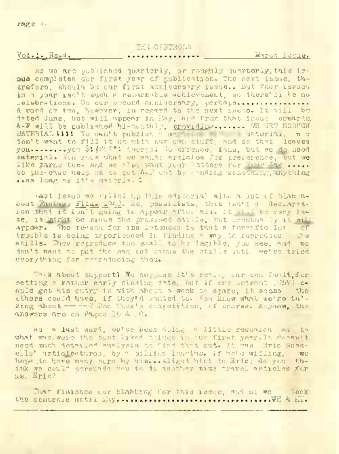### THE CONTROLS

### Vol.l.,No.4.

#### . . . . . . . . . . . . . . . .

March Issue.

As we are published quarterly, or roughly quarterly,this issue completes our first year of publication. The next issue, therefore, should be cur first anniversary issue.. But four issues in a year isn't such a remarkable achievement, so there'll he no celebrations. On our upcord anniversary, perhaps................ <sup>A</sup> word or two, however, in regard to the next issue. It will be dated June, but will appear in May, and from that issue onwards, A-F will be published bi-monthly, providing...............r® GET ENOUGH MATERIAL Hit We can't publish - ma material, we don't want to fill it up with our own stuff, and so that leaves you........ver \$140077; twerps; No offence, fans, but we do need material. You know what we want: articles for preference, but we like taras too. And we also want your letters for Your Say ..... so pul-ease help ud to put A-P cut by sending something, anything ..as long as it's material <sup>I</sup>

last issue we filled up this editorial with a lot cf blah abuut Fantasy Films <sup>1940</sup>. No, pessimists, this isn't a declarat-ion that it isn't going to appear after all. It will be very late, it might be minus the promised stills, but eventually it will artear. The reason for its lateness is that a terrific lot. trouble is being experienced in finding .a way to reproduce the stills. They reproduce too small to be legible, you see, and we don't want to put the mag cut minus the stills until we've tried everything for reproducing them.

Talk about support<sup>I</sup> We "suppose it's really cur own fault,for setting a rather early closing date, but if one netrant (TDV) could get his entry in with about a week to spare, it seems the ethers could have the wave and to. You know they the search they there they take the tal-<br>There could have, if they're talled to. You know what we're tal-<br>king about------ Don Thew's competition, cf course. Anyhow, the answers are on Pages 19 & 2C,»

As <sup>a</sup> last word, we've been doing <sup>a</sup> little research as to what was/were the most liked things in our first <year.It> doesn't need much detailed analysis to find that cut. It was Eric Russ-<br>ella<sup>r</sup> Articlectures, by a militic leasting, if hels willing, we ells' articlectures, by a million lengths. If he's willing, hope to have many more by him...slight hint to Eric; do you think we could correctly you to do another time travel articles for us, Eric?

That finishes cur blabbing for this issue, and sc we lock .the controls until May............ .................................. \_.WH & KT.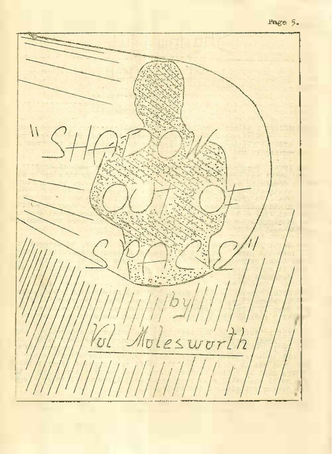## Page 5»

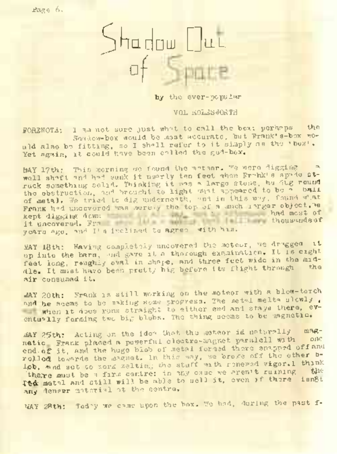Page 6.



by the ever-popular

VOL MOLSSWORTH

FORENOTA: I am not sure just what to call the box: perhaps the Shadow-box would be most accurate, but Frank's-box would also be fitting, so I shall refer to it simply as the 'box'. Yet again, it could have been called the god-box.

MAY 17th: This morning we found the meteor. We were digging well shaft and had sunk it nearly ten feet when Frahk's spade struck something solid. Thinking it was a large stone, he dug round the obstruction, and brought to light what appeared to be a ball of metal, We tried to dig underneath, and in this way, found what or merel, we travel it will uncovered the top of a most larger object.we<br>Frank had uncovered was served the top of a most larger object.we<br>kept digging down kept digging down<br>it uncovered. Fra thousands of the boundary years ago, and I's inclined to agree with him.

MAY 18th: Having completely uncovered the meteor, we dragged it up into the barn, and gave it a thorough examination. It is eight feet long, reughly oval in shape, and three feet wide in the middle. It must have been pretty hig before its flight through air consumed it.

MAY 20th: Frank is still working on the moteor with a blow-torch and he seems to be making some progress. The metal melts slowly, when it does runs straight to either end and stays there, eventually forming two big blubs. The thing seems to be magnetic.

MAY 25th: Acting on the idea that, the meteor is naturally magnatic Frank placed a powerful cleatro-magnet paralell with end.of it, and the huge blob of metal formed there snapped off and rolled towards the magnet. In this way, we broke off the other b-Iph, and sot to work melting the stuff with renewed vigor. I think there must be a firm centre: in any case we great ruining . the Tth metal and still will be able to sell it, even if there any denser material at the centre.

MAY 28th: Toddy we came upon the box. We had, during the past f-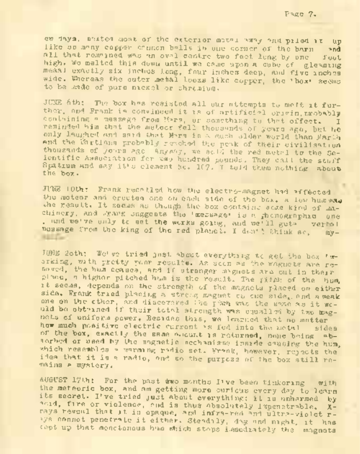ew days, method most of the exterior metal way and piled it up like so many copper cannon balls in one corner of the barn all that remained was an oval centre two feet long by one foot high. We melted this down until we came upon a cube of gleaming meaal exactly six inches long, four inches deep, and five inches wide. Whereas the outer metal looks like copper, the 'box' seems to be eade of pure nickel or chromium.

JUNE 6th: The box has resisted all our attempts to melt it further, and Frank is convinced it is of artificial origin, mobably containing a message from Mars, or something to that offect. reminded him that the meteor fell thousands of years ago, but he only laughed and said that Mars is a much older world than Farth and the Martians probably reached the peak of their civilisation thousands of yours age. Anyway, we sold the red metal to the Scientific Association for two hundred pounds, They call the stuff. Spatium and say it's element No. 107. I told them nothing about the box.

JUNE 10th: Frank recalled how the electro-magnet had affected the meteor and erected one on each side of the box. A low hum was vhe result. It seems as though the box contains seme kind of machinery, and Frank suggests the 'message' is a fachographic one , and we've only to set the works going, and we'll gets verbal message from the king of the red planet. I don't think sc, my-

JJNE 2oth: We've tried just about everything to get the box ' working, with pretty poor results. As scon as' the magnets are removed, the hum ceases, and if stranger magnets are out in their place, a higher pitched has is the result. The pitch of the hum, it secas, depends on the strength of the magnets placed on either side. Frank tried placing a strong magnet ch one side, and a weak one on the ether, and discovered the pixh was the same as it would be obtained if their total strength was equalled by two magnets of uniform power. Besides this, we learned that no matter how much positive electric current is fed into the metal sides of the box, exactly the same amount is returned, none being absorbed or used by the magnetic mechanisms inside causing the hum, which resembles a warming radio set. Frank, however, rejects the idea that it is <sup>a</sup> radio, and so the purpose of the box still remains a mystery.

AUGUST 17th: For the past awo months I've been tinkering with the meteoric box, and am getting more curious every day to learn its secret. I've tried just about everything: it is unharmed by acid, fire or violence, and is thus absolutely impenetrable. Xrays reveal that it is opaque, and infra-red and ultra-violet r-Vs cannot penetrate it either. Steadily, day and night, it has oept up that monotonous hum which stops immediately the magnets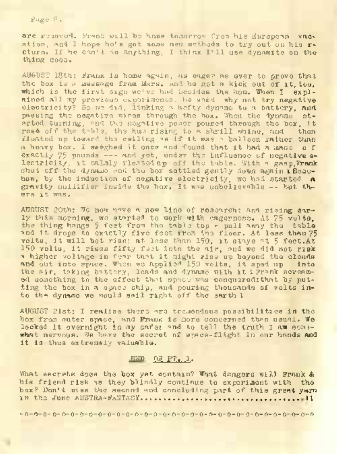Page 8»

are removed. Frank will be home tomorrow from his European vacation, and I hope ho's got some new methods to try out on his ration, and I hope ho's got some new mathods to try out on his r-<br>Cturn. If he can't do anything, I think I'll use dynamite on the<br>. thing soon.

AUGUST 18th: Frank is home again, as eager as ever to prove that the box is a message from Mars, and be got a kick out of it, too, which is the first sign we've had besides the hum. When I explained all my previous experiments, he said why not try negative electricity? So we did, linking a hefty dynamo to a battery, **and** passing the negative wires through the box. When the dynamo started turning, and the negative power poured through the box, it ros4 off the table, the hum rising to a shrill whine, and then floated up toward the ceiling as if it was a balloon rather than a heavy box. I weighed it once and found that it had a mass of exactly 75 pounds --- and yet, under the influence of negative electricity, it calmly floated up off the table. With a gasp, Frank shut off the dynamo and the box settled gently down again iBonehow, by the induction of negative electricity, we had started **a** gravity nullifier inside the box. It was unbelievable -- but there it was.

AUGUST 20th: We now have a new line of research: and rising early this morning, we started to work with eagerness. At 75 volts, the thing hangs <sup>5</sup> fest from the table top - pull away the table and it drops to exactly five feet from the floor. At less than <sup>75</sup> volts, it will hot rise: at less than 150, it stays at <sup>5</sup> feet.At <sup>150</sup> volts, it rises fifty feet into the air, and we did not risk a higher voltage in fear that it might rise up beyond the clouds and out into space. When we applied 150 volts, it sped up into the air, taking battery, leads and dynamo with it <sup>I</sup> Prank screamed something to the effect that space was conquered:that by putting the box in a space ship, and pouring thousands of volts into the dynamo we would sail right off the sarth I

AUGUST 21st; I realise there are tremendous possibilities in the box from outer space, and Frank is more concerned than usual. We locked it overnight in my safe: and to tell the truth I am somewhat nervous. We have the secret of space-flight in our hands and it is thus extremely valuable.

## END 07 PT. 1.

What secrets does the box yet contain? What dangers will Frank & his friend risk as they blindly continue to experiment with the box? Don't miss the second and concluding part of this great yarn in the June <sup>a</sup>USTRA-FaNTaSY. **........................... .... .......................... <sup>11</sup>**

-0-0-0-0- 0-0-0-0-0-0-0-0-0-0-0-0-0-0- 0-0-0-0-0-0-0-0-0-0-0-0-0-0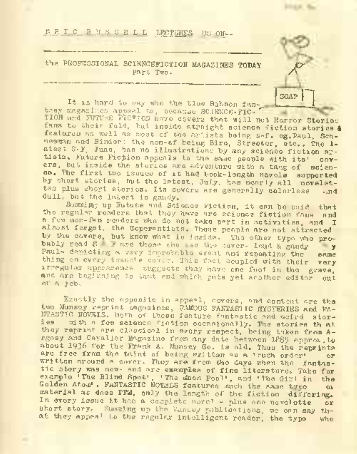# **K F I C R J S S E L L LECTURES US ON--**

the PROFESSIONAL SCIENCEFICTION MAGAZINES TODAY CONSERVATION

It is hard to ony who the tlue Rabbon fanthey magazines appeal to, because SCIENCE-FIG-

the BROFFICIONAL SCHENCEFICION MAGAZINES TODAY<br>
Future PROPERTY TO SAY THE RIBBON FAN- L. - —<br>
TION and MUTURE FICTION and the Say who the Ribbon fan-<br>
TION and MUTURE FICTION and the Horror Stories<br>
Tion to their field, b fans to their fold, but inside straight science fiction stories & features as well as most of the artists being s-f. eg. Paul, Schneemn and Binder: the non-sf being Biro, Streeter, etc.. The 1 atest S-F, June, has no illustrations by any science fiction artists. Future Fiction appeals to the same people with its' covers, but inside the stories are adventure with a tang of "science. The first two issues of it had book-length novels supported by short stories, but the latest, July, has nearly all novelet-<br>tes plus short stories. Its covers are generally colarless and tes plus short stories. Its covers are generally colorless dull, but the latest is gaudy.

*<u>DOLLARE MA</u>* 

Summing up Future and Science Fiction, it can be said that the regular readers that they have are science fiction fans and a few non-fan readers who do not take part in activities, and I almost forgot, the Esperantists. These people are not attracted by the covers, but know what is inside. The other type who probably read S F are those who see the cover- loud & gaudy Paul- depicting a very improbable event and repeating the same thing on every issue's cover. This fact coupled with their very irregular appearence suggests they have one foot in the grave, and are beginning to that end which puts yet another editor out of a j ob .

Exactly the opposite in appeal, covers, and content are the two Munsey reprint magazines, FAMOUS FANTASTIC MYSTERIES and FA-NTASTIC NOVELS. Both of these feature fantastic and weird stories with a few science fiction occasionally. The stories that they reprint are classical in every respect, being taken from Argosy and Cavalier Magazine from any date between 1885 approx.to about <sup>1936</sup> for the Frank A. Munsey So. is old. Thus the reprints are free from the taint of being written as a 'rush order' or written around a cover. They are from the days when the fantastic story was new- and are examples of fine literature. Take for example 'The Blind Spot', 'The moon Pool', and 'The Girl in the Golden Atom' . FANTASTIC NOTHIS features much the same type or material as does FFM, only the length of the fiction differing. In every issue it has a complete novel - plus one novelette or short story. Summing up the Muntey publications, we can say that they appeal to the regular intelligent reader, the type who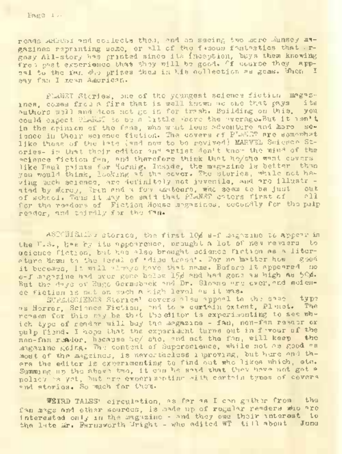reads .adbusi and collects them, end on seeing two acre Munsey magazines reprinting some, or all of the famous familystics that .rgosy All-story has printed since its Inception, buys them knowing from met experience that they will be good. If course they appeal to the fan who prizes them in his collection as gems. When I say fan I mean American.

PLANST Stories, one of the youngest science fiction magazines, comes from a firm that is well known as one that gave its authors well and does not go in for trash. Building on this, you authors well and does not go in for trash. Building on this, "you<br>could expect Clakis" to be a little wore the wernge.alut it isn't<br>in the opinion of the fans, who wust leus adventure and more science in their science fiction. The covers of PLANET are somewhat like those of the late (and now to be revived) MARVEL Science Stories- in that their editor <sup>a</sup>n<sup>d</sup> artist don't know the mind of the science fiction fan, and therefore think that he/she want covers like Paul paints for Hornig. Inside, the magazine is better than you would think, looking at the cover. The stories, while not having much science, are definitely not juvenile, and are illustr ated by Morey, Trin and a few amateurs, who seem to be just out of school. Thus it may be said that PLANET caters first of all for the readers of Fiction House magazines, secondly for the pulp reader, and thirdly for the fan.

ASTGHISHIS stories, the first 10g s-f magazine to appear in the V.S., has by its appearence, prought a lot of new readers to science fiction, but has also brought science fiction as a literature down to the level of 'dime trash1. For no hotter how good it becomes, it will always have that name. Before it appeared no s-f magazine had ever gone below 15% and had gone as high as 50%. But the days of Hugo Gernsback and Dr. Slowing are over, and softence fiction is not on such <sup>a</sup> high level as it was.

SUPERSCIENCE Stories' covers also appeal to the sane type as Horror, Science Fiction, and to a certain extent, Planet. The remann for this may be that the citor is experimenting to see which type of reader will buy the magazine - fan, non-fan reactor or pulp fiend. I hope that the experiment turns out in favour of the non-fan reader, because he/ she, and not the fan, will keep the magazine going. The content of Superscience, while not as good as most of the magzines, is nevertheless improving, but here and thers the editor is experimenting to find out who likes which, etc. Summing up the above two, it can be seed that they have not got a policy 's yet, but are experimenting with certain types of covers and stories. So much for them.

WEIRD TALES' circulation, as far as I can gather from the fan mags and other sources, is made up of regular readers who are interested only in the magazine - and they owe their interest to the late Mr. Farnsworth Wright - who edited WT till about June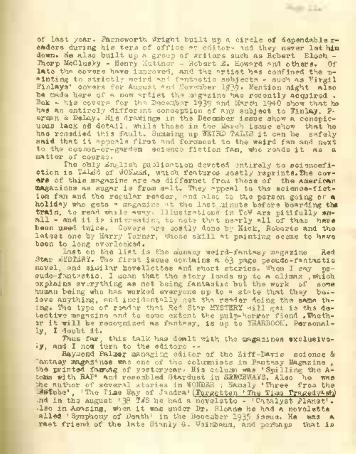of last year. Farnsworth Wright built up a circle of dependable readers during his term of office as editor- and they never let him down. He also built up a group of writers such as Robert Eloch -Thorp McClusky - Henry Kuttner - Robert 3. Howard and others. Of late the covers have improved, and the artist has confined the painting to strictly weird and fantastic subjects - such as Virgil Finlays' covers for August and November 1930. Mention might also be made here of a new artist the magazine has recently acquired . Bok - his covers for the December 1939 nnd March 1940 show that he has an entirely different conception of any subject to Finlay, Ferman & DeLay. His drawings in the December issue show a conspicuous lack of dotail, while those in the March issue show that he has remedied this fault. Summing up WEIRD TALES it can be safely said that it appeals first and foromost to the weird fan and next to the common-or-garden science fiction Tan, who reads it as a matter of courses

**Hum TTu** 

The ohly English publication devoted entirely to sciencefiction is TALES of WONDER, which features mostly reprints. The covors of this magazine are as differnet from those of the American magazines as sugar is from salt. They appeal to the science-fiction fan and the regular reader, and also to the person going or a holiday who gets a magazine at the last minute before boarding the train, to read while away. Illustrations in ToW are pitifully small - and it is interesting to note that nearly all of them have been used twice. Covers are mostly done by Kick, Roberts and the latest one by Harry Turner, whose skill at painting seems to have been to long overlooked.

Last on the list is the munsey weird-fantasy magazine Red Star MYSTERY. The first issue contains a 63 page pseudo-fantastic novel, and similar hovellettes and short stories. When I say eudo-fantastic, I mean that the story leads up to a climax, which explains everything as not being fantastic but the work of some human being who has worked everyone up to a state that they believe anything, and incidentally get the reader doing the same thing. The type of reader that Red Star MYSTERY will get is the detective magazine and to some extent the pulp-horror fiend . Whether it will be recognized as fantasy, is up to YEARBOOK. Personally, I doubt it.

Thus far, this talk has dealt with the magazines exclusively, and I now turn to the editors --

Raymond Palmer managing editor of the Ziff-Davis science & 'antasy magazines was one of the columnists in Fantasy Magazine , the printed fanmag of yesteryear. His column was 'Spilling the Atoms with RAP' and resembled Stardust in SERCEWAYS. Also he was the author of several stories in WONDER ; Namely 'Three from the -BSTube', 'The Time Bay of Jandra' (Forgotten 'The Time TragedyAwh) •nd in the August '38 TWS he had a novelette - ' Catalyst Planet\*. -Iso in Amazing, when it was under Dr. Sloane he had <sup>a</sup> novelette alled 'Symphony of Death' in the December 1935 issue. He was a raet friend of the late Stanly G. Weinbaum, and perhaps that is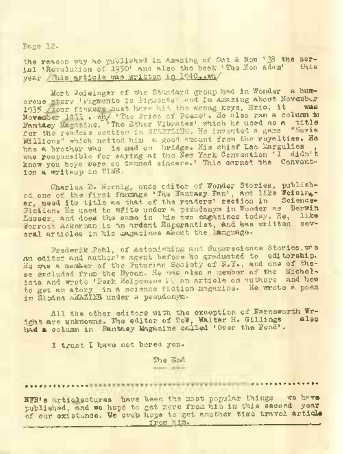Page 12.

the reason why he published in Amazing of Oct & Now '38 the serial 'Revolution of 1950' and also the book 'The New Adam' this year / This article was written in 1940... Wh/

Mort Weisinger of the Standard group had in Wonder a humorous story 'Pigments is Pigments' and in Amazing about November 1935 /Your fingers must have hit the wrong keys, Eric; it ordes was ringere sust have hit the wrong keys, Eric; it was<br>November 1933, .wh. 'The Price of Peace's He also ran a column in<br>Fantasy Magazine, 'The Ether Vibrates' which he used as a title for the readers section in STARTLING, Ho invented a game "Movie Millions" which netted him a good amount from the royalties. He has a brother who is und on bridge. His chief Leo Margulies was responsible for saying at the New York Convention 'I didn't know you boys were so damned sincere.' This earned the Convention a writeup in TIME,

Charles D. Hornig, once editor of Wonder Stories, published one of the first fanmags 'The Fantasy Pan', and like Weisinger, used its title as that of the readers' section in Science-Fiction. He used to wfite under a psoudonym in Wonder as Derwin Lesser, and does the same in his two magazines today. He, like Forrest Ackerman is an ardent Esperantist, and has written several articles in his magazines about the language.

Frederik Pohl, of Astonishing and Superseignce Stories, was an editor and author's agent before he graduated to editorship. Ha was a member of the Futurian Society of N»Y., and one of those excluded from the Nycon. He was also a member of the Michelists and wrote 'Perk Helpomene 11, an article on authors and how to get an story in *e.* science fiction magazine. He wrote a poem in SloAne <sup>a</sup>MAZINS under a pseudonym.

All the other editors with the exception of Farnsworth Wright are unknowns. The editor of ToW, Walter H. Gillings had a column in Fantasy Magazine called 'Over the Pond'.

I trust I have not bored you.

The End  $-11$ 

*99 99* <sup>o</sup> <sup>s</sup> <sup>&</sup>lt; <sup>s</sup> <sup>e</sup> e. • » « \*

EFR's articlectures have been the most popular things we have published, and we hope to get more from him in this second year published, and we hope to get another that the travel article<br>of our existence. We cycl hope to get another time travel article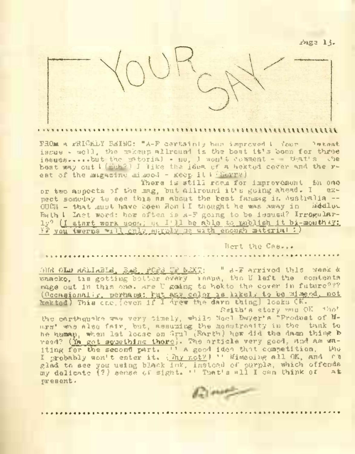j?age 13.



#### 

FROM A FRICKLY ESING: "A-F certainly has improved 1 Your latest issue - well, the makeup allround is the best it's been for three issues.....but the material - no, I won't comment - that's line best way out I (Huh?) I like the idea of a hektod cover and the rest of the magazine mimeod - keep it I (Sorry)

There is still room for improvement in one<br>mag hut allround it's guing sheed. I exor two aspects of the mag, but allround it's going ahead. I pect someday to see this as about the best fanmag in Australia --<br>OUCL - that wouldways been don't I thought he was away in - Medium  $00C_H$  - that must have been Ron II thought he was away in Bath <sup>I</sup> Last word: how often is A-F going to be issued? Irregularly? (I start work soon; sc I'll be able to publish it bi-monthay: IF you twerps will only supply me with enough material <sup>I</sup> )

Bert the Cas...

ONR OLD RELIABLE, BAS, POPS UP NEXT; " A-F arrived this week & whacko, tis getting better every issue, the U left the contents nage out in this one. Are <sup>U</sup> going to hekto the cover in future??? (Occasionally, perhaps: but any color is likely to be mimeod, not hektod) This one, (even if I drew the darn thing) looks CK.

Smith's story was OK +ho'

the earthquake was very timely, while Noel Dwyer's "Produst of liars' was also fair, but, assuming the monstrosity in the tank to her when head that is one, when many constant and the dam thing b-<br>he hump, when let loose on Grul (Earth) how did the dam thing b-<br>reed? (<u>Ya got something there</u>). The article very good, and am waiting for the second part. '1 A good idea that competition, the<br>I probably won't enter it. (Thy not?) '' Mimeoing all OK, and ph a prosecutive intervalses in the second of purple, which offends<br>glad to see you using black ink, instead of purple, which offends present.

Course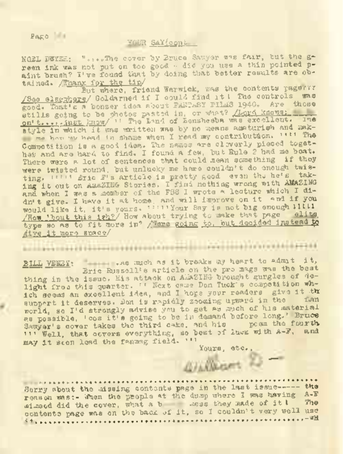Page 14

### YOUR SAY(cont

NOEL DWYER: "...-The cover by Bruce Sawyer was fair, hut the green ink was not put on too good - did you use a thin pointed naint brush? I've found that by doing that better results are obtained. /Thanx for the tip/

But where, friend Warwick, was the contents ragery? /See elsewhere/ Goldarned if <sup>I</sup> could find it <sup>I</sup> The controls was good. That's a bonzer idea shout FANTASY DIMAS 1940. Are those stills gojng to be photos pasted in, or what? /Lord. knows,:, on't. ... ..lust know/"" The Band of Bensheeba was excellent. lye style in which it was written was by no means amaturish and makme have by head in shame when I read my contribution. " " The Competition is a good idea. The names are cleverly pieced together and are hard to find. I found a few, but Rule 2 had me beat. There were a lot of sentences that could mean something if they were twisted round, but unlucky me hare couldn't do enough twisting. ''" Eric F's article is pretty good even the he's taking it out on <sup>A</sup>maZING Stories. <sup>I</sup> find nothing wrong with AMAZING and when I was a member of the FSS I wrote a lecture which I didn't give. I have it at home, and will improve on it and if you would like it, it's yours. '""Your Say is not big enough HILLI /How 'bout this 1sh?/ How about trying to make that page type so as to fit more in? /Were going to, but decided instead to /ive it more space/

BILL VENBY: .As much as it breaks my heart to admit \_i t,

Eric Russell's article on the pro mags was the best thing in the issue. His attack on AMAZING brought gurgles of delight from this quarter. '' Next came Don Tuck's competition which seems an excellent idea, and I hope your readers give it the support it deserves. Don is rapidly zooming upward in the world, so I'd strongly advise you to get as much of his material as possible, 'cos it's going to be in demand before long.'Bryce Sawyer's cover takes the third cake, and his peem the fourth, may it scon lead the fanmag field. ' " Yours, etc..

Yours, etc.,

""

11 ' Well, that ocvers everything, so best of luxe with A-P, and<br>
411 ' Well, that covers everything, so best of luxe, with A-P, and<br>
4.24 11 scon less the fannag field. ''<br>
Hours are the mondern the last issue----- the<br>
4 Sorry about the missing contents page in the last issue-------- the mimeod did the cover, what <sup>a</sup> <sup>b</sup> mess, they made of it <sup>I</sup> The reason was:- When the people at the dump where I was having A-F<br>mimod did the cover, what a b ass they made of it! The contents page was on the back of it, so I couldn't very well use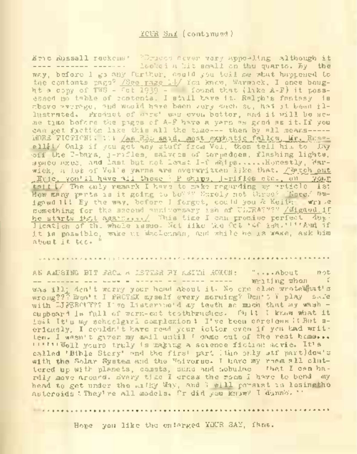## YCHR SaY (continued)

Eric Russell reckons? "Druces never very appealing although it ------------------- ------------- looked a hit small on the quarto. By the way, before I go any further, could you tell me what happened to the contents page? /See page 14/ You knew, Warwick, I once bought a copy of TWS - fet 1939 - found that (like A-F) it possessed no table of contents. I still have it. Ralph's fantasy is above average, and would have been very much sc, had it been illustrated. Frommet of anys' was even better, and it will be seme time before the pages of A-F have a yarn as good as it.If you can get fiction like this all the time--- then by all means-----MORE FICTION! . III /As R3L said, most emphatic fellow, Mr. Russell&1/ Only if you get any stuff from Vol, then tell him to lay ■off the T-bars, j-rifles, salvoes of torpedoes, flashing lights, space axes, and last but not least I-P ships......Honestly, Warwick, and last but not loast 1-f water......Honestly, War-<br>wick, a lot of Vol's yarns are overwritten like that, /?etch.out .Eric, you'll have all those I-P ships, j-rifles etc., on your tail 1/ The only remark I have to make regarding my article is: How many rerts is it going to be??? Surely not three? Nope/ Omigawd III By the way, before I forget, could you & Keith wrise something for the second anniversary ish of ULTRA???? /Migawd,if he starts that again..../ This time I can promise perfect duplication of the whole issue. Net like the Oct '4C ish.' <sup>1</sup>''And if it is possible, wake ut. MacLennan, and while he is wake, ask him about it too. "

AN AMUSING BIT FROm <sup>A</sup> LETTER BY KEITH MOXON; "....About not .—----------- ------ -------- --- ------------— -- — writing when <sup>I</sup> was ill. Ach't worry your head about it. No one else wrote@hat's wrong??? Don't I PRCTEX myself every morning? Don't I play safe with LIEBBOUY?? I've Listerine'd my teeth sc much that my wash cupboard is full of worn-out toothbrushes . Oh <sup>1</sup><sup>1</sup> I know what it isit It's my schoolgirl complexion 1 I've been carelens it But sericusly, I couldn't have read your letter even if you had written. I wasn't given my mail until I came out of the rest home... ''''''Well yours truly is majcing <sup>a</sup> science fiction movie. It's called 'Bible Story' and the first part (the only stf part)dea's with the Solar System and the Universe. I have my room all cluttered up with planets, comets, suns and nobulae that I can hardly move around. Every time I cross the room I have to bend my head to get under the ailky Way, and I will persist in losingthe asteroids '.They're all models. Or did you know? <sup>T</sup> 'dunnb"."

Hope you like the enlarged YOUR SAY, fans.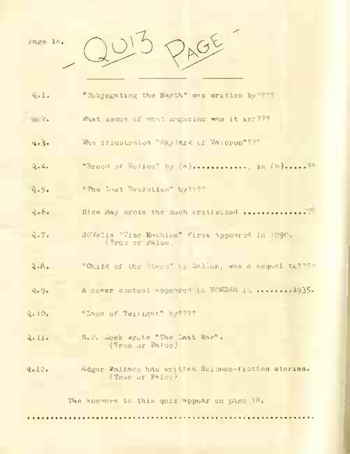| Page 16.        | $G_{\Sigma}^{K}$                                                      |
|-----------------|-----------------------------------------------------------------------|
| $Q_{12}$        | "Subjugating the Barth" was written by "?"?                           |
| $= 2+$          | What issue of what magazine was it in????                             |
| 4.3.            | Who illustrated "Sky Inrk of Vareren"???                              |
| $Q_{1} = Q_{1}$ |                                                                       |
| $Q + 5.$        | "The Iret Brulation" by????                                           |
| 4.66.           | Rice Hay wrote the mach critisized                                    |
| Q.7.            | Helelia "Time Machine" first appoared in 1890.<br>(True or False,     |
| 2.8.            | "Child of the Stars" by Gallan, was a sequel to????                   |
| 9.494           | A cover content appeared in WONDER is  1935.                          |
| $Q_{1} + Q_{2}$ | "Inset of Twillerht" hy????                                           |
|                 | S.P. Seek wrote "The Last War".                                       |
| 4-11-           | (True or Falgo)                                                       |
| 4.12.           | Adgar Wallace has written Science-fietten steries.<br>(True or False) |
|                 | The answers to this goiz appear on page 18.                           |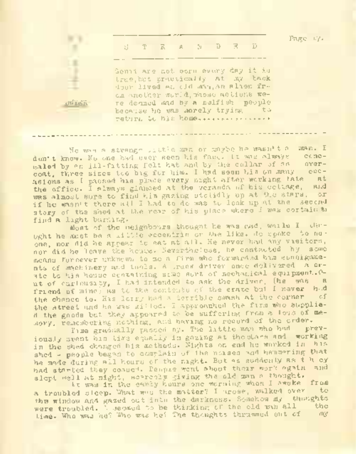

He was <sup>a</sup> strange little roan or maybe he wasn't <sup>a</sup> man. I don't know. No one had ever seen his face. It was always concealed by an ill-fitting felt hat and by the collar of an coat, three sizes too big for him. I had seen him on many occasions as I passed his place every night after working late at the office. I always ginneed at the veranda of his cottage, and was almost sure to find him gazing stolidly up at the stars, if he wasn't there all I had to do was to look up at the second story of the shed at the rear of his place where I was cortain an find a light burning.

Most of the neighbours thought he was cad, while I thought he must be a little eccentric or the like. He spoke to noone, nor did he appear to eat at all. He never had any visitors, nor did he leave the house. Nevertheless, he contacted by some means foreever unknown to me a firm who forwarded him eonsignments of machinery and tools. A truck driver once dolivered a crate to his house containing some sort of mechanical equipment. Out of curiousity. I had intended to ask the driver, the was a friend of mine) as to the contents of the erate but I never had the chance to. His lorry had a terrible smash at the corner of the street and he was Killed. I approached the firm who supplied the goods but they appeared to be suffering from a loss of memory, remembering nothing, and having no record of the order.

Time gradually passed by. The little man who had previously spent his time equally in gazing at the stars and working in the shed changed his methods. Nights on end he worked in his shed - people began to complain of the noises and hammering that he made during all hours of the night. But as suddenly as t h ey had started they conned. People went about their work again and slept well at night, scarcely giving the ald man a thought.

It was in the early hours one morning when I awoke from a troubled sleep. What was the matter? I arose, walked over the window and gazed out into the darkness. Somehow my thoughts were troubled. I seemed to be thinking of the old wan all the time. Who was he? Who was he? The thoughts thrummed out of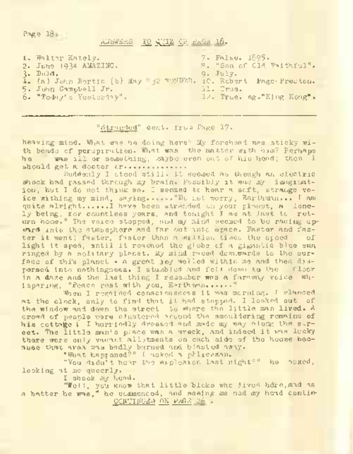Page 18

ANSWERS TO 0,'JIZ CN PAGE 16.

| 1. Walter Kately.       | 7. FAIRN. 1895.                                                |
|-------------------------|----------------------------------------------------------------|
| 2. June 1934 AMAZING,   | B. "Son of Cld Faithful".                                      |
| R. Dald,                | $9.$ July.                                                     |
|                         | 1. (a) Juan Bertin (b) May 12 WOMDED, iC. Robert Page Preston. |
| 5. John Campbell Jr.    | il. Trus.                                                      |
| 6. "Today's Yesterlay". | 12. True. eg."Eing Kong".                                      |
|                         |                                                                |

"Stranded" cont. from Page 17«

heaving mind. What was he doing here? My forehead was sticky with beads of perspiration. What was the matter with him? Perhaps was ill or something, maybe even out of his head; then I should get a doctor (F. ..............

Suddenly I stood still. It seemed as though an electric shock had passed through my brain. Possibly it was my imagination, but I do not think so. I seemed to hear a soft, strange voice withing my mind, saying......."Du not worry, Earthman... I am quite alright......! have been stranded on your planet, a lonely being, for countless years, and tonight I am at last tc return home." The voice stopped, and my mind seemed to be racing upward into the atmosphere and far out into space. Faster and fas-<br>ter it went: faster faster than a sulting times the croed of ter it went; faster, faster than a million times the speed light it sped, until it reached the globe of a gigantic blue sun, ringed by a solitary planet. My mind raced demicards to the surface of this planet - a great joy welled within me and then dispersed into nothingness. I stumbled and fell down to the floor in a daze and the last thing I remember was a faraway voice whispering, "Peace rest with you, Earthman......"

'Shen I regained consciousness it was morning. I glanced at the clock, only to find that it had stopped. <sup>I</sup> looked out of the window and down the street to where the little man lived. A crowd of people were clustered around the smouldering remains of his cottage I I hurriedly dressed and made my way along the street. The little man's place was a wreck, and indeed it was lucky there were only vacant allotments on each side of the house because that area was badly burned and blasted away.

"What happened?" I asked a policeman.

"You didn't hear the explosion last night?" he asked, looking at me queerly.

I shook my head.

"Well, you know that little bloke who lived hdre,mad as a hatter he was," he commenced, and seeing me nod my head contin-CONTINUEP ON PAGE 26 .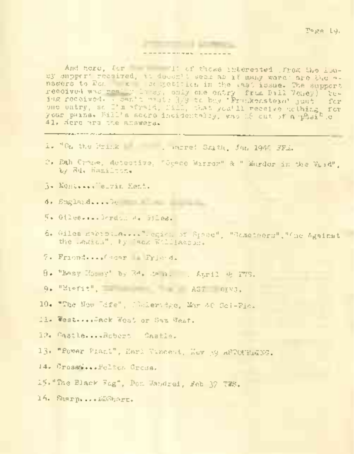Page 19<

And here, Cor ... 'Il of these interested (from the lousy supper" received, ii doesn't seem as if many were the a-support<br>navere to Don k consumed, in the a-si issue. The support<br>received was real, lousy, only one entry -from Bill Veney) Being received, *i* can't write 3/9 to buy 'Frank mind coney' for<br>one entry, sc, Jan frankd, Bill, that you'll receive nothing, for yno datry, so i'm propin, Dill, that you'll receive gothing for<br>your pains. Bill's soore incidentally, was 18 cut of a-p&sific 41. Here are *z'.e* answers.

. . . . . . . . .

1. "On the Brink , we amove! Smith, Jan 1946 FFA,

- 2. Rah Crane, detective, "Space Mirror" & " Murder in the Void", by Ed. Hamilton.
- 3• Kent....Ke-Tin Kent.

<sup>4</sup>. England....Ge

5« Giles....Gordon A. Giles.

6. Giles nabi oo\_a. .,.''..egici. of Space", "Ocmetoors" , "One Against the -^egicn", <sup>1</sup> y *~ack* 'JiHiamoon.

7« Friend....0 scar Friend.

- 8. "Easy Moi jy\* by 3d. Den. . . . April 4: 1779.
- 9. "Misfit", AST OING.

10. -"The Hew life", J-Coleridge, Mar 40 Sci-Fic;

11. West....Jack West or Sam West.

12. Castle....Robert Castle.

13. "Power Plant", Harl Vincent, Hev 39 ASTOCHLENG.

14. Crossie...Pelter Cress.

I?. "The. Black Fog", Don Wandrei, Feb- <sup>37</sup> TWS.

16. Sharp....DDSharu.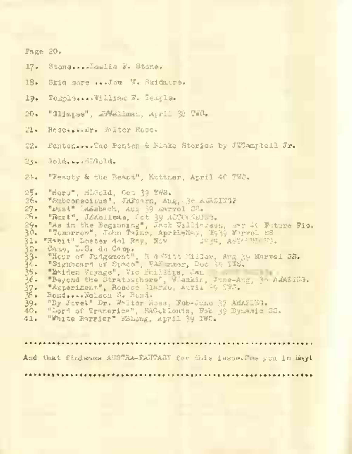Page 20. 17. Stone....Leslie F. Stone.

18. Skid snore ...Joe W. Skidmore.

19. Temple... .William P. Temple.

20. "Glimpse", MiVWellman, April <sup>38</sup> TWP.

■21. Rose.../.Dr. Walter Rose.

22. Penton.... The Penton & Blake Stories by JWCampbell Jr.

2j♦ Gold.•..HLGold.

24. "Feauty & the Beast", Kuttner, April 40. TW3.

25. "Hero", HLGold, Get 39 TWS.<br>26. "Subconseins", JHFoarn, Au

26. "Subconscious", JRFearn, Aug, 38 AMAZING?-

27. "Dust" Ladebach, Aug 39 Marvel SS.

28. "Rust", Jóneileam, Get 39 ASTCrNDIns.<br>29. "As in the Beginning", Jack Williamson, .rr 4C Future Pio.

30. "Tomorrow", John Taine, AprilyMay, 1933 Marvel SS<br>31. "Habit" Loster del Rev. Nev. 1949, Astronamental

31. "Habit" Lester del Roy, Nov<br>32. "Cany, L.S. de Camp.<br>33. "Hour of Judgement", R.A.Wi-

32. Carp, L.S. dn Camp, 7<br>33. – Wign of Julgement", B. 6 (3114 1308), Arg 31 Marvel 28.<br>34. – Walden Voyage", Tro Frielzin, Dec 30 133.<br>36. – Beyond the Stratsshere", Wiedlin, Francis, 30 AdASING.<br>36. – Beyond the Stratssh

37. "Esperiment", Roscoe Clarke, Auril 39 TWS.<br>35. Bond....Wolsen S. Bond.

38. Bond....Walson S. Bond.<br>39. "By Jevel" Dr. Walter S.

39. "By Jovel" Dr. Walter Ross, Neb-June 37 AMAZING.<br>40. "Dord of Tranerica", S40-kiontz, Feb 40 Byzanie ;

40. "Lord of Tranerioa", SACthlentz, Peb 39 Dynamic S3.

"White Barrier" BBLong, April 39 TWC.

. . . . . . . . . . . . . . . . **. . . .** . . . And that finishes AUSTRA-FANTASY for this issue. The you in Mayl